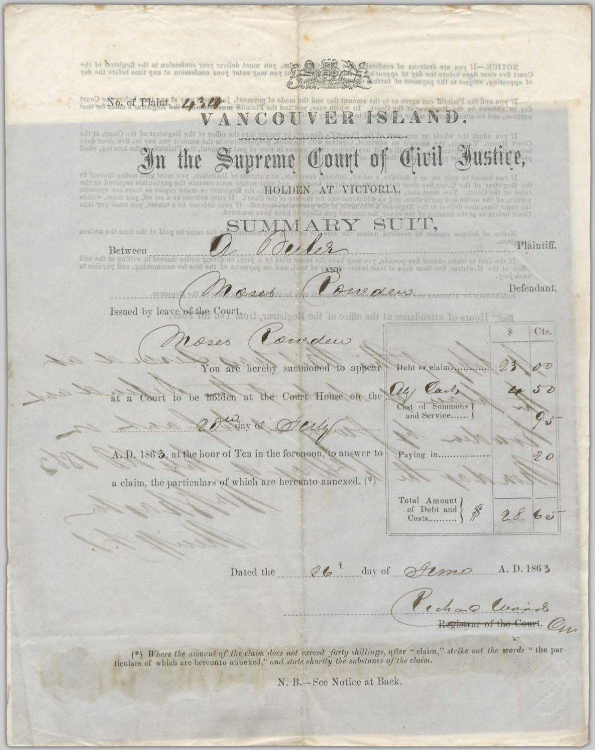NOTICE.—If you are desirous of contesting of Said @ sim, you must deliver your confession to the Registral of the Court of the contest of the Registral of the contest of a specific of appearing to preacting a specific stra No. of Plaint, 2, 32, 1 theorem as to the amount due one did her pay and the Plainty of bas way if yd bonethin od VERISLAND. Journal of the NCO i. he office of the Registrat of the Court, at the add fimbe move if yeh zavla svit ini vsa nov In the Supreme Court of Civil I of lostedi sulton office must contain the particulars required by the trar of the Court five of-HOLDEN AT VICTORIA. If your dufcnes he a set off, you must, within olui quy laum nov dulla son anno puy into sadion ont amil and in hing ad amus all <sup>ann</sup> Plaintiff, Between<br>his call is guiding afformal for summoning, and payable to di lo 46m unelle jury. Parede Defendant, credit Issued by leave of the Court, only Hours of attendance at the office of the Registrar. Tient  $\mathcal{S}$ Cts. Conduo Moses You are hereby summoned to appear Debt or claim.  $19 - 7$ All Carls Court to be holden at the Court House on the at a Cost of Summons and Service...... Whay of Old A.D. 1863. at the hour of Ten in the forenoon, to answer to Paying in......  $\overline{\mathcal{D}}$   $\overline{\mathcal{O}}$ a claim, the particulars of which are hereunto annexed. (\*) Total Amount of Debt and  $28$  $60$ Costs.......... Dated the 26<sup>2</sup> day of fema A.D.1863 Pechao Cuando

(\*) Where the amount of the claim does not exceed forty shillings, after " claim," strike out the words " the par ticulars of which are hereunto annexed," and state shortly the substance of the claim.

**Cintrar of the Court.** On

N. B.-See Notice at Back.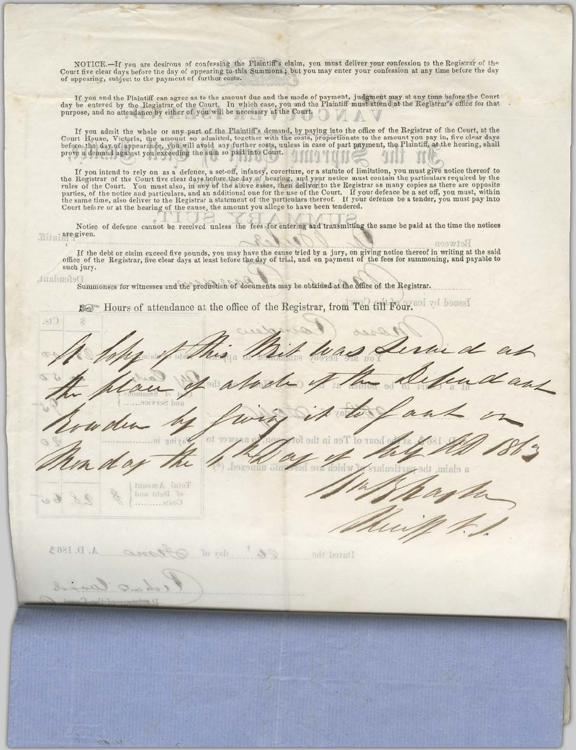NOTICE.—If you are desirous of confessing the Plaintiff's claim, you must deliver your confession to the Registrar of the Court five clear days before the day of appearing to this Summons; but you may enter your confession

If you and the Plaintiff can agree as to the amount due and the mode of payment, judgment may at any time before the Court<br>day be entered by the Registrar of the Court. In which case, you and the Plaintiff must attend at t

If you admit the whole or any part of the Plaintiff's demand, by paying into the office of the Registrar of the Court, at the Court House, Victoria, the amount so admitted, together with the costs, proportionate to the amo

If you intend to rely on as a defence, a set-off, infancy, coverture, or a statute of limitation, you must give notice thereof to the Registrar of the Court five clear days before the day of hearing, and your notice must c

Notice of defence cannot be received unless the fees for entering and transmitting the same be paid at the time the notices illim are given.

If the debt or claim exceed five pounds, you may have the cause tried by a jury, on giving notice thereof in writing at the said office of the Registrar, five clear days at least before the day of trial, and on payment of such jury.

detween

## fondant.

Summonses for witnesses and the production of documents may be obtained at the office of the Registrar.

Hours of attendance at the office of the Registrar, from Ten till Four. of yet boused

at<sup>()</sup> ah<br>dans ot te l'en in the lo THOL **DOZOHILL OTH** Immom A IsloT of Debt nnd  $A. D. 1863$ lo zub oili hots(I